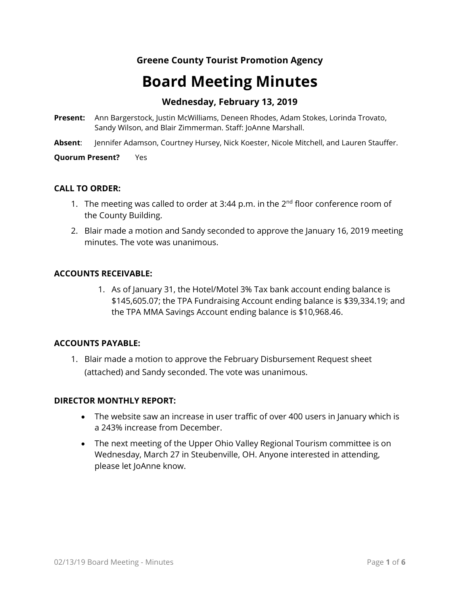# **Greene County Tourist Promotion Agency**

# **Board Meeting Minutes**

# **Wednesday, February 13, 2019**

- **Present:** Ann Bargerstock, Justin McWilliams, Deneen Rhodes, Adam Stokes, Lorinda Trovato, Sandy Wilson, and Blair Zimmerman. Staff: JoAnne Marshall.
- **Absent**: Jennifer Adamson, Courtney Hursey, Nick Koester, Nicole Mitchell, and Lauren Stauffer.

**Quorum Present?** Yes

#### **CALL TO ORDER:**

- 1. The meeting was called to order at 3:44 p.m. in the  $2^{nd}$  floor conference room of the County Building.
- 2. Blair made a motion and Sandy seconded to approve the January 16, 2019 meeting minutes. The vote was unanimous.

#### **ACCOUNTS RECEIVABLE:**

1. As of January 31, the Hotel/Motel 3% Tax bank account ending balance is \$145,605.07; the TPA Fundraising Account ending balance is \$39,334.19; and the TPA MMA Savings Account ending balance is \$10,968.46.

#### **ACCOUNTS PAYABLE:**

1. Blair made a motion to approve the February Disbursement Request sheet (attached) and Sandy seconded. The vote was unanimous.

#### **DIRECTOR MONTHLY REPORT:**

- The website saw an increase in user traffic of over 400 users in January which is a 243% increase from December.
- The next meeting of the Upper Ohio Valley Regional Tourism committee is on Wednesday, March 27 in Steubenville, OH. Anyone interested in attending, please let JoAnne know.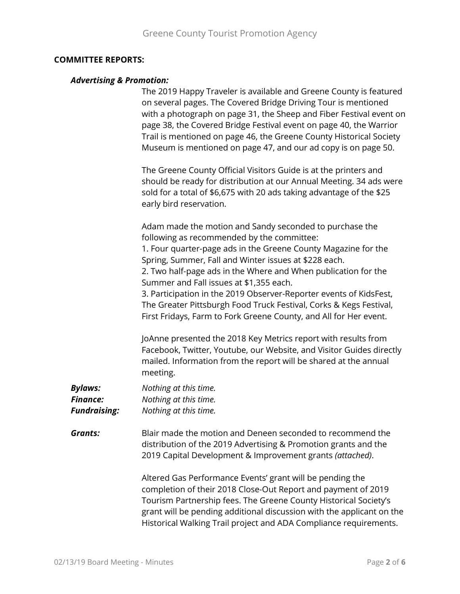#### **COMMITTEE REPORTS:**

#### *Advertising & Promotion:*

The 2019 Happy Traveler is available and Greene County is featured on several pages. The Covered Bridge Driving Tour is mentioned with a photograph on page 31, the Sheep and Fiber Festival event on page 38, the Covered Bridge Festival event on page 40, the Warrior Trail is mentioned on page 46, the Greene County Historical Society Museum is mentioned on page 47, and our ad copy is on page 50.

The Greene County Official Visitors Guide is at the printers and should be ready for distribution at our Annual Meeting. 34 ads were sold for a total of \$6,675 with 20 ads taking advantage of the \$25 early bird reservation.

Adam made the motion and Sandy seconded to purchase the following as recommended by the committee:

1. Four quarter-page ads in the Greene County Magazine for the Spring, Summer, Fall and Winter issues at \$228 each.

2. Two half-page ads in the Where and When publication for the Summer and Fall issues at \$1,355 each.

3. Participation in the 2019 Observer-Reporter events of KidsFest, The Greater Pittsburgh Food Truck Festival, Corks & Kegs Festival, First Fridays, Farm to Fork Greene County, and All for Her event.

JoAnne presented the 2018 Key Metrics report with results from Facebook, Twitter, Youtube, our Website, and Visitor Guides directly mailed. Information from the report will be shared at the annual meeting.

| <b>Bylaws:</b>      | Nothing at this time. |
|---------------------|-----------------------|
| <b>Finance:</b>     | Nothing at this time. |
| <b>Fundraising:</b> | Nothing at this time. |

*Grants:* Blair made the motion and Deneen seconded to recommend the distribution of the 2019 Advertising & Promotion grants and the 2019 Capital Development & Improvement grants *(attached)*.

> Altered Gas Performance Events' grant will be pending the completion of their 2018 Close-Out Report and payment of 2019 Tourism Partnership fees. The Greene County Historical Society's grant will be pending additional discussion with the applicant on the Historical Walking Trail project and ADA Compliance requirements.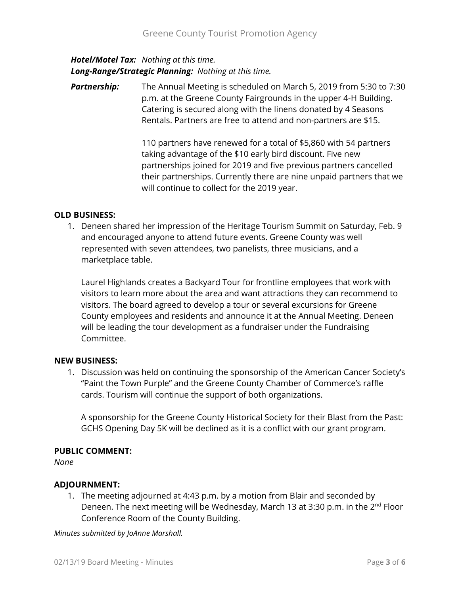## *Hotel/Motel Tax: Nothing at this time. Long-Range/Strategic Planning: Nothing at this time.*

**Partnership:** The Annual Meeting is scheduled on March 5, 2019 from 5:30 to 7:30 p.m. at the Greene County Fairgrounds in the upper 4-H Building. Catering is secured along with the linens donated by 4 Seasons Rentals. Partners are free to attend and non-partners are \$15.

> 110 partners have renewed for a total of \$5,860 with 54 partners taking advantage of the \$10 early bird discount. Five new partnerships joined for 2019 and five previous partners cancelled their partnerships. Currently there are nine unpaid partners that we will continue to collect for the 2019 year.

## **OLD BUSINESS:**

1. Deneen shared her impression of the Heritage Tourism Summit on Saturday, Feb. 9 and encouraged anyone to attend future events. Greene County was well represented with seven attendees, two panelists, three musicians, and a marketplace table.

Laurel Highlands creates a Backyard Tour for frontline employees that work with visitors to learn more about the area and want attractions they can recommend to visitors. The board agreed to develop a tour or several excursions for Greene County employees and residents and announce it at the Annual Meeting. Deneen will be leading the tour development as a fundraiser under the Fundraising Committee.

## **NEW BUSINESS:**

1. Discussion was held on continuing the sponsorship of the American Cancer Society's "Paint the Town Purple" and the Greene County Chamber of Commerce's raffle cards. Tourism will continue the support of both organizations.

A sponsorship for the Greene County Historical Society for their Blast from the Past: GCHS Opening Day 5K will be declined as it is a conflict with our grant program.

## **PUBLIC COMMENT:**

*None*

## **ADJOURNMENT:**

1. The meeting adjourned at 4:43 p.m. by a motion from Blair and seconded by Deneen. The next meeting will be Wednesday, March 13 at 3:30 p.m. in the 2<sup>nd</sup> Floor Conference Room of the County Building.

*Minutes submitted by JoAnne Marshall.*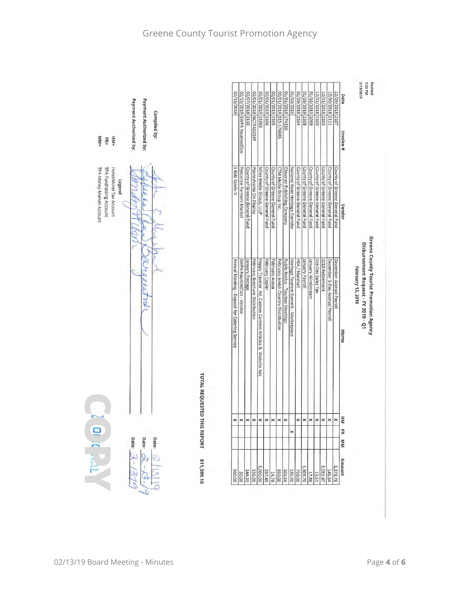| Payment Authorized by:<br>Payment Authorized by:<br>Compiled by:<br>$M_{M}$<br>$=$ MH<br>FR= | 6113/2019                                     | 02/13/2019 SWPA HauntedCon | 02/07/2019 2110               | 02/01/2019 GCTPA0219P          | 02/01/2019 21861                                         | 02/01/2019 2106               | 02/01/2019 2105                                                                                  | 02/01/2019 015-176683               | 01/31/2019<br>174210             | 61/30/2019                                                       | 01/29/2019 2104<br>01/18/2019<br>2108 | 01/16/2019 2099               | 12/31/2018 2100               | 12/31/2018<br>2103            | 12/30/2018 2111                | 12/29/2018 2107               | Revised<br>2/13/2019<br>Nd 22:1<br>Date<br>Invoice #                                                       |
|----------------------------------------------------------------------------------------------|-----------------------------------------------|----------------------------|-------------------------------|--------------------------------|----------------------------------------------------------|-------------------------------|--------------------------------------------------------------------------------------------------|-------------------------------------|----------------------------------|------------------------------------------------------------------|---------------------------------------|-------------------------------|-------------------------------|-------------------------------|--------------------------------|-------------------------------|------------------------------------------------------------------------------------------------------------|
| TPA Fundraising Account<br>TPA Money Market Account<br>Hotel/Motel Tax Account<br>Legend     | 5 Kidz Kandy-V                                | Fencerow Farmers Market    | County of Greene General Fund | Pennsylvania On Display        | Miles Media Group, LLLP                                  | County of Greene General Fund | County of Greene General Fund                                                                    | CTM Media Group Inc.                | Observer Publishing Company      | National Road Heritage Corridor<br>County of Greene General Fund | County of Greene General Fund         | County of Greene General Fund | County of Greene General Fund | County of Greene General Fund | County of Greene General Fund  | County of Greene General Fund | <b>Vendor</b>                                                                                              |
| Ę<br>$\overline{m}$                                                                          | Annual Meeting - Deposit for Catering Service | SWPA HauntedCon - Vendor   | January Postage               | February Brochure Distribution | Happy Traveler Ad, Custom Content Articles & Website Ads | February Copier               | February Avaya                                                                                   | February Amish Country Distribution | Public Notice - Tourism Meetings | HSA / Marshall<br>Heritage Tourism Summit - Marketplace          | January Payroll                       | January Windstream            | Oct-Dec Sales Tax             | 2018 Retirement               | December 1-Day Accrual Payroll | December Accrual Payroll      | Greene County Tourist Promotion Agency<br>Disbursement Request - FY 2019 - Q1<br>February 13, 2019<br>Memo |
| o<br>No                                                                                      | TOTAL REQUESTED THIS REPORT<br>$\times$       | $\boldsymbol{\times}$      | $\times$ $\times$             |                                | $\pmb{\times}$                                           | $\pmb{\times}$                | $\boldsymbol{\times}$                                                                            | $\pmb{\times}$                      | ×                                |                                                                  |                                       | $\times$ $\times$ $\times$    |                               | $\pmb{\times}$                | ×                              | $\times$                      | IКМ                                                                                                        |
| Date:<br>Date:<br>Date:                                                                      |                                               |                            |                               |                                |                                                          |                               |                                                                                                  |                                     |                                  | ×                                                                |                                       |                               |                               |                               |                                |                               | ER<br><b>NW</b>                                                                                            |
|                                                                                              | \$11,599.10                                   |                            | $\frac{144.39}{30.00}$        | 336.00                         |                                                          |                               | $\begin{array}{r}\n 350.00 \\ \underline{14.78} \\ 337.49 \\ \underline{3,000.00}\n \end{array}$ |                                     | 135.00                           | 750.00                                                           |                                       | 17.88                         | 13.51                         | 3,032.47                      | 145.54                         | 1,378.78                      | Amount                                                                                                     |



## Greene County Tourist Promotion Agency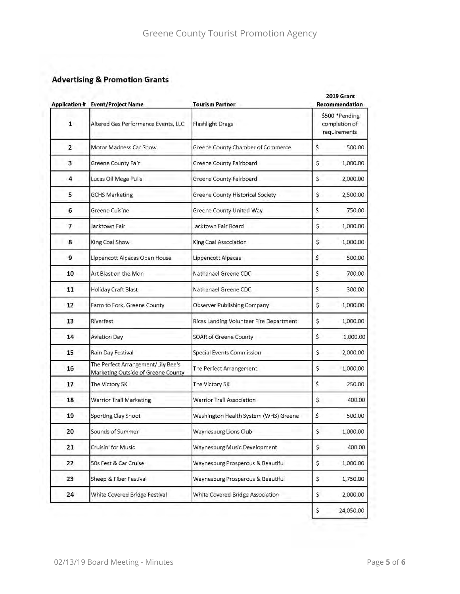# **Advertising & Promotion Grants**

|                | <b>Application # Event/Project Name</b>                                  | <b>Tourism Partner</b>                  | 2019 Grant<br>Recommendation<br>\$500 *Pending<br>completion of<br>requirements |           |  |  |  |
|----------------|--------------------------------------------------------------------------|-----------------------------------------|---------------------------------------------------------------------------------|-----------|--|--|--|
| $\mathbf{1}$   | Altered Gas Performance Events, LLC                                      | Flashlight Drags                        |                                                                                 |           |  |  |  |
| $\overline{2}$ | Motor Madness Car Show                                                   | Greene County Chamber of Commerce       | \$                                                                              | 500.00    |  |  |  |
| 3              | Greene County Fair                                                       | Greene County Fairboard                 | \$                                                                              | 1,000.00  |  |  |  |
| 4              | Lucas Oil Mega Pulls                                                     | Greene County Fairboard                 | \$                                                                              | 2,000.00  |  |  |  |
| 5              | <b>GCHS Marketing</b>                                                    | Greene County Historical Society        | \$                                                                              | 2,500.00  |  |  |  |
| 6              | Greene Cuisine                                                           | Greene County United Way                | \$                                                                              | 750.00    |  |  |  |
| $\overline{7}$ | Jacktown Fair                                                            | Jacktown Fair Board                     | \$                                                                              | 1,000.00  |  |  |  |
| 8              | King Coal Show                                                           | King Coal Association                   | \$                                                                              | 1,000.00  |  |  |  |
| 9              | Lippencott Alpacas Open House                                            | Lippencott Alpacas                      | \$                                                                              | 500.00    |  |  |  |
| 10             | Art Blast on the Mon                                                     | Nathanael Greene CDC                    | \$                                                                              | 700.00    |  |  |  |
| 11             | Holiday Craft Blast                                                      | Nathanael Greene CDC                    | \$                                                                              | 300.00    |  |  |  |
| 12             | Farm to Fork, Greene County                                              | Observer Publishing Company             | \$                                                                              | 1,000.00  |  |  |  |
| 13             | Riverfest                                                                | Rices Landing Volunteer Fire Department | \$                                                                              | 1,000.00  |  |  |  |
| 14             | Aviation Day                                                             | SOAR of Greene County                   | \$                                                                              | 1,000.00  |  |  |  |
| 15             | Rain Day Festival                                                        | Special Events Commission               | \$                                                                              | 2,000.00  |  |  |  |
| 16             | The Perfect Arrangement/Lily Bee's<br>Marketing Outside of Greene County | The Perfect Arrangement                 | \$                                                                              | 1,000.00  |  |  |  |
| 17             | The Victory 5K                                                           | The Victory 5K                          | \$                                                                              | 250.00    |  |  |  |
| 18             | <b>Warrior Trail Marketing</b>                                           | Warrior Trail Association               | \$                                                                              | 400.00    |  |  |  |
| 19             | Sporting Clay Shoot                                                      | Washington Health System (WHS) Greene   | \$                                                                              | 500.00    |  |  |  |
| 20             | Sounds of Summer                                                         | Waynesburg Lions Club                   | \$                                                                              | 1,000.00  |  |  |  |
| 21             | Cruisin' for Music                                                       | Waynesburg Music Development            | \$                                                                              | 400.00    |  |  |  |
| 22             | 50s Fest & Car Cruise                                                    | Waynesburg Prosperous & Beautiful       | \$                                                                              | 1,000.00  |  |  |  |
| 23             | Sheep & Fiber Festival                                                   | Waynesburg Prosperous & Beautiful       | \$                                                                              | 1,750.00  |  |  |  |
| 24             | White Covered Bridge Festival                                            | White Covered Bridge Association        | \$                                                                              | 2,000.00  |  |  |  |
|                |                                                                          |                                         | \$                                                                              | 24,050.00 |  |  |  |